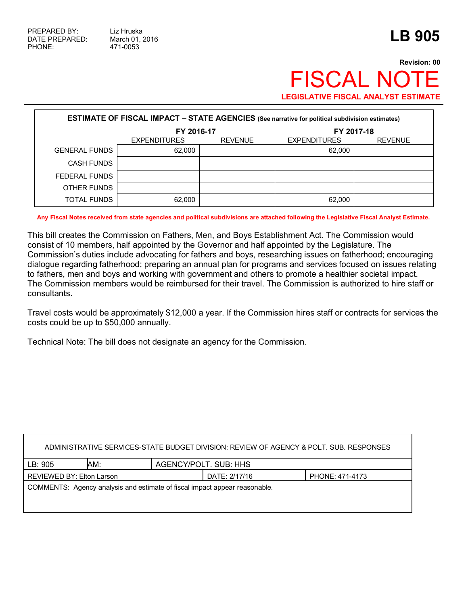## **Revision: 00 FISCAL NOT LEGISLATIVE FISCAL ANALYST ESTIMATE**

| <b>ESTIMATE OF FISCAL IMPACT - STATE AGENCIES (See narrative for political subdivision estimates)</b> |                     |                |                     |                |  |
|-------------------------------------------------------------------------------------------------------|---------------------|----------------|---------------------|----------------|--|
|                                                                                                       | FY 2016-17          |                | FY 2017-18          |                |  |
|                                                                                                       | <b>EXPENDITURES</b> | <b>REVENUE</b> | <b>EXPENDITURES</b> | <b>REVENUE</b> |  |
| <b>GENERAL FUNDS</b>                                                                                  | 62.000              |                | 62,000              |                |  |
| <b>CASH FUNDS</b>                                                                                     |                     |                |                     |                |  |
| FEDERAL FUNDS                                                                                         |                     |                |                     |                |  |
| OTHER FUNDS                                                                                           |                     |                |                     |                |  |
| TOTAL FUNDS                                                                                           | 62,000              |                | 62,000              |                |  |

**Any Fiscal Notes received from state agencies and political subdivisions are attached following the Legislative Fiscal Analyst Estimate.**

This bill creates the Commission on Fathers, Men, and Boys Establishment Act. The Commission would consist of 10 members, half appointed by the Governor and half appointed by the Legislature. The Commission's duties include advocating for fathers and boys, researching issues on fatherhood; encouraging dialogue regarding fatherhood; preparing an annual plan for programs and services focused on issues relating to fathers, men and boys and working with government and others to promote a healthier societal impact. The Commission members would be reimbursed for their travel. The Commission is authorized to hire staff or consultants.

Travel costs would be approximately \$12,000 a year. If the Commission hires staff or contracts for services the costs could be up to \$50,000 annually.

Technical Note: The bill does not designate an agency for the Commission.

| ADMINISTRATIVE SERVICES-STATE BUDGET DIVISION: REVIEW OF AGENCY & POLT. SUB. RESPONSES |     |                       |               |                 |  |
|----------------------------------------------------------------------------------------|-----|-----------------------|---------------|-----------------|--|
| LB:905                                                                                 | AM: | AGENCY/POLT. SUB: HHS |               |                 |  |
| REVIEWED BY: Elton Larson                                                              |     |                       | DATE: 2/17/16 | PHONE: 471-4173 |  |
| COMMENTS: Agency analysis and estimate of fiscal impact appear reasonable.             |     |                       |               |                 |  |